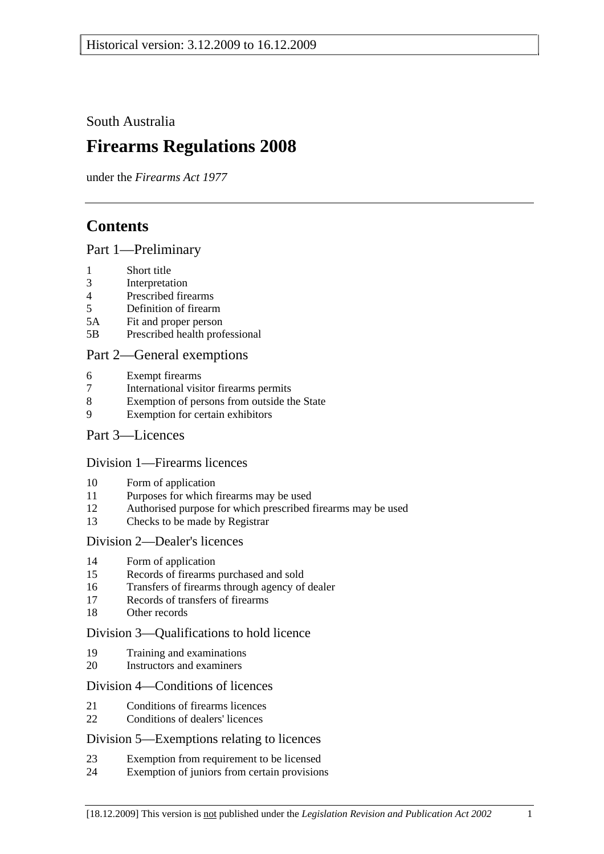South Australia

# **Firearms Regulations 2008**

under the *Firearms Act 1977*

# **Contents**

## Part 1—Preliminary

- 1 Short title
- 3 Interpretation
- 4 Prescribed firearms
- 5 Definition of firearm
- 5A Fit and proper person
- 5B Prescribed health professional

## Part 2—General exemptions

- 6 Exempt firearms
- 7 International visitor firearms permits
- 8 Exemption of persons from outside the State
- 9 Exemption for certain exhibitors

## Part 3—Licences

#### Division 1—Firearms licences

- 10 Form of application
- 11 Purposes for which firearms may be used
- 12 Authorised purpose for which prescribed firearms may be used
- 13 Checks to be made by Registrar

#### Division 2—Dealer's licences

- 14 Form of application
- 15 Records of firearms purchased and sold
- 16 Transfers of firearms through agency of dealer
- 17 Records of transfers of firearms
- 18 Other records

## Division 3—Qualifications to hold licence

- 19 Training and examinations
- 20 Instructors and examiners

#### Division 4—Conditions of licences

- 21 Conditions of firearms licences
- 22 Conditions of dealers' licences

## Division 5—Exemptions relating to licences

- 23 Exemption from requirement to be licensed
- 24 Exemption of juniors from certain provisions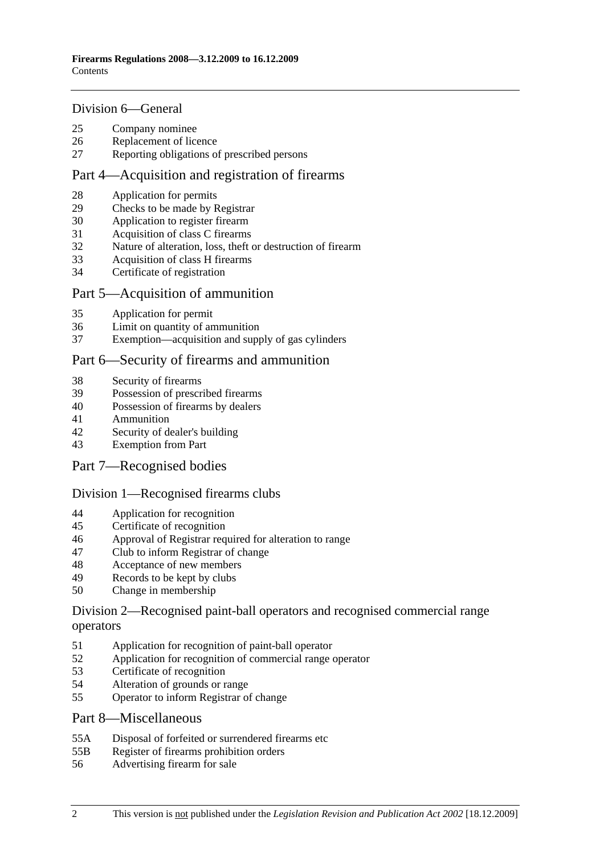#### Division 6—General

- 25 Company nominee
- 26 Replacement of licence
- 27 Reporting obligations of prescribed persons

#### Part 4—Acquisition and registration of firearms

- 28 Application for permits
- 29 Checks to be made by Registrar
- 30 Application to register firearm
- 31 Acquisition of class C firearms
- 32 Nature of alteration, loss, theft or destruction of firearm
- 33 Acquisition of class H firearms
- 34 Certificate of registration

#### Part 5—Acquisition of ammunition

- 35 Application for permit
- 36 Limit on quantity of ammunition
- 37 Exemption—acquisition and supply of gas cylinders

## Part 6—Security of firearms and ammunition

- 38 Security of firearms
- 39 Possession of prescribed firearms
- 40 Possession of firearms by dealers
- 41 Ammunition
- 42 Security of dealer's building
- 43 Exemption from Part
- Part 7—Recognised bodies

#### Division 1—Recognised firearms clubs

- 44 Application for recognition
- 45 Certificate of recognition
- 46 Approval of Registrar required for alteration to range
- 47 Club to inform Registrar of change
- 48 Acceptance of new members
- 49 Records to be kept by clubs
- 50 Change in membership

## Division 2—Recognised paint-ball operators and recognised commercial range operators

- 51 Application for recognition of paint-ball operator
- 52 Application for recognition of commercial range operator
- 53 Certificate of recognition
- 54 Alteration of grounds or range
- 55 Operator to inform Registrar of change

#### Part 8—Miscellaneous

- 55A Disposal of forfeited or surrendered firearms etc
- 55B Register of firearms prohibition orders
- 56 Advertising firearm for sale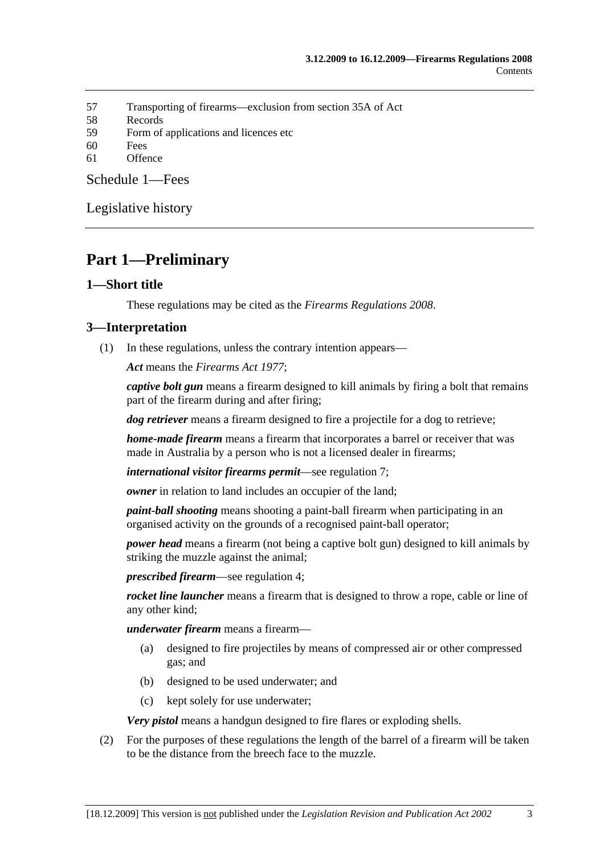- 57 Transporting of firearms—exclusion from section 35A of Act
- 58 Records
- 59 Form of applications and licences etc
- 60 Fees
- 61 Offence

Schedule 1—Fees

Legislative history

# **Part 1—Preliminary**

## **1—Short title**

These regulations may be cited as the *Firearms Regulations 2008*.

#### **3—Interpretation**

(1) In these regulations, unless the contrary intention appears—

*Act* means the *Firearms Act 1977*;

*captive bolt gun* means a firearm designed to kill animals by firing a bolt that remains part of the firearm during and after firing;

*dog retriever* means a firearm designed to fire a projectile for a dog to retrieve;

*home-made firearm* means a firearm that incorporates a barrel or receiver that was made in Australia by a person who is not a licensed dealer in firearms;

*international visitor firearms permit*—see regulation 7;

*owner* in relation to land includes an occupier of the land;

*paint-ball shooting* means shooting a paint-ball firearm when participating in an organised activity on the grounds of a recognised paint-ball operator;

*power head* means a firearm (not being a captive bolt gun) designed to kill animals by striking the muzzle against the animal;

*prescribed firearm*—see regulation 4;

*rocket line launcher* means a firearm that is designed to throw a rope, cable or line of any other kind;

*underwater firearm* means a firearm—

- (a) designed to fire projectiles by means of compressed air or other compressed gas; and
- (b) designed to be used underwater; and
- (c) kept solely for use underwater;

*Very pistol* means a handgun designed to fire flares or exploding shells.

 (2) For the purposes of these regulations the length of the barrel of a firearm will be taken to be the distance from the breech face to the muzzle.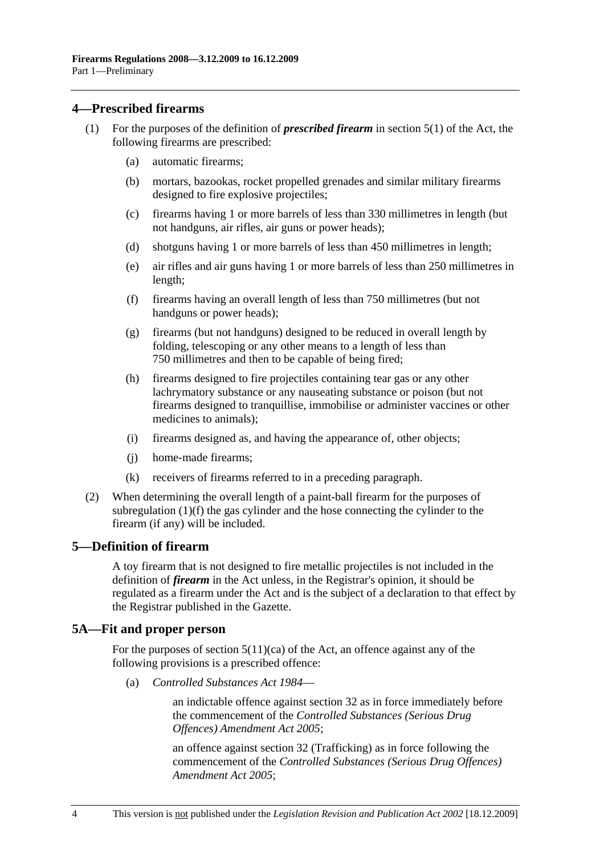## **4—Prescribed firearms**

- (1) For the purposes of the definition of *prescribed firearm* in section 5(1) of the Act, the following firearms are prescribed:
	- (a) automatic firearms;
	- (b) mortars, bazookas, rocket propelled grenades and similar military firearms designed to fire explosive projectiles;
	- (c) firearms having 1 or more barrels of less than 330 millimetres in length (but not handguns, air rifles, air guns or power heads);
	- (d) shotguns having 1 or more barrels of less than 450 millimetres in length;
	- (e) air rifles and air guns having 1 or more barrels of less than 250 millimetres in length;
	- (f) firearms having an overall length of less than 750 millimetres (but not handguns or power heads);
	- (g) firearms (but not handguns) designed to be reduced in overall length by folding, telescoping or any other means to a length of less than 750 millimetres and then to be capable of being fired;
	- (h) firearms designed to fire projectiles containing tear gas or any other lachrymatory substance or any nauseating substance or poison (but not firearms designed to tranquillise, immobilise or administer vaccines or other medicines to animals);
	- (i) firearms designed as, and having the appearance of, other objects;
	- (j) home-made firearms;
	- (k) receivers of firearms referred to in a preceding paragraph.
- (2) When determining the overall length of a paint-ball firearm for the purposes of subregulation (1)(f) the gas cylinder and the hose connecting the cylinder to the firearm (if any) will be included.

#### **5—Definition of firearm**

A toy firearm that is not designed to fire metallic projectiles is not included in the definition of *firearm* in the Act unless, in the Registrar's opinion, it should be regulated as a firearm under the Act and is the subject of a declaration to that effect by the Registrar published in the Gazette.

## **5A—Fit and proper person**

For the purposes of section  $5(11)(ca)$  of the Act, an offence against any of the following provisions is a prescribed offence:

(a) *Controlled Substances Act 1984*—

an indictable offence against section 32 as in force immediately before the commencement of the *Controlled Substances (Serious Drug Offences) Amendment Act 2005*;

an offence against section 32 (Trafficking) as in force following the commencement of the *Controlled Substances (Serious Drug Offences) Amendment Act 2005*;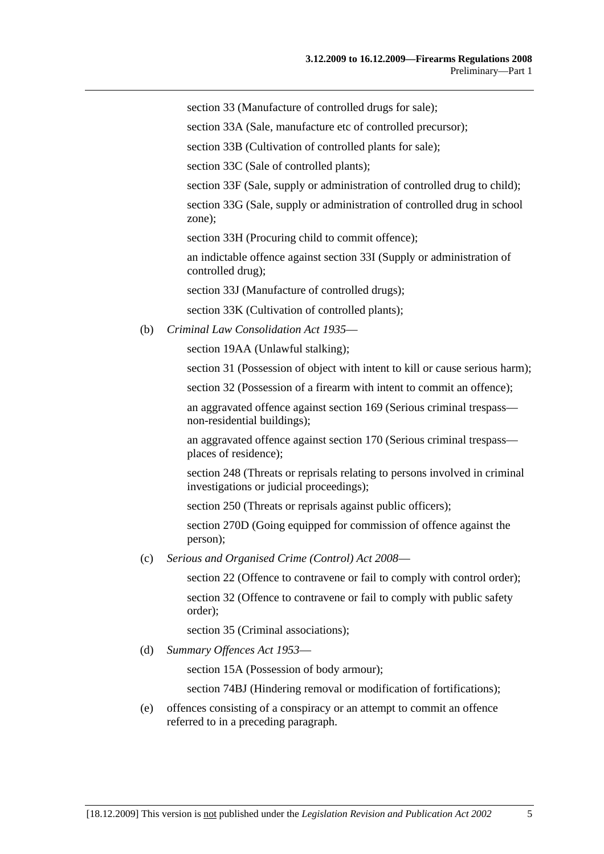section 33 (Manufacture of controlled drugs for sale);

section 33A (Sale, manufacture etc of controlled precursor);

section 33B (Cultivation of controlled plants for sale);

section 33C (Sale of controlled plants);

section 33F (Sale, supply or administration of controlled drug to child);

section 33G (Sale, supply or administration of controlled drug in school zone);

section 33H (Procuring child to commit offence);

an indictable offence against section 33I (Supply or administration of controlled drug);

section 33J (Manufacture of controlled drugs);

section 33K (Cultivation of controlled plants);

(b) *Criminal Law Consolidation Act 1935*—

section 19AA (Unlawful stalking);

section 31 (Possession of object with intent to kill or cause serious harm);

section 32 (Possession of a firearm with intent to commit an offence);

an aggravated offence against section 169 (Serious criminal trespass non-residential buildings);

an aggravated offence against section 170 (Serious criminal trespass places of residence);

section 248 (Threats or reprisals relating to persons involved in criminal investigations or judicial proceedings);

section 250 (Threats or reprisals against public officers);

section 270D (Going equipped for commission of offence against the person);

(c) *Serious and Organised Crime (Control) Act 2008*—

section 22 (Offence to contravene or fail to comply with control order);

section 32 (Offence to contravene or fail to comply with public safety order);

section 35 (Criminal associations);

(d) *Summary Offences Act 1953*—

section 15A (Possession of body armour);

section 74BJ (Hindering removal or modification of fortifications);

 (e) offences consisting of a conspiracy or an attempt to commit an offence referred to in a preceding paragraph.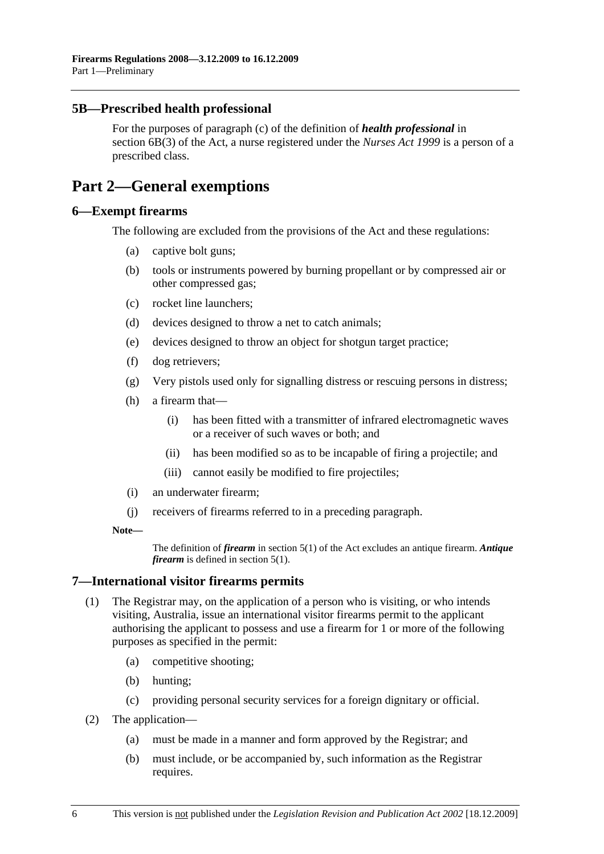## **5B—Prescribed health professional**

For the purposes of paragraph (c) of the definition of *health professional* in section 6B(3) of the Act, a nurse registered under the *Nurses Act 1999* is a person of a prescribed class.

# **Part 2—General exemptions**

## **6—Exempt firearms**

The following are excluded from the provisions of the Act and these regulations:

- (a) captive bolt guns;
- (b) tools or instruments powered by burning propellant or by compressed air or other compressed gas;
- (c) rocket line launchers;
- (d) devices designed to throw a net to catch animals;
- (e) devices designed to throw an object for shotgun target practice;
- (f) dog retrievers;
- (g) Very pistols used only for signalling distress or rescuing persons in distress;
- (h) a firearm that—
	- (i) has been fitted with a transmitter of infrared electromagnetic waves or a receiver of such waves or both; and
	- (ii) has been modified so as to be incapable of firing a projectile; and
	- (iii) cannot easily be modified to fire projectiles;
- (i) an underwater firearm;
- (j) receivers of firearms referred to in a preceding paragraph.

#### **Note—**

The definition of *firearm* in section 5(1) of the Act excludes an antique firearm. *Antique firearm* is defined in section 5(1).

## **7—International visitor firearms permits**

- (1) The Registrar may, on the application of a person who is visiting, or who intends visiting, Australia, issue an international visitor firearms permit to the applicant authorising the applicant to possess and use a firearm for 1 or more of the following purposes as specified in the permit:
	- (a) competitive shooting;
	- (b) hunting;
	- (c) providing personal security services for a foreign dignitary or official.
- (2) The application—
	- (a) must be made in a manner and form approved by the Registrar; and
	- (b) must include, or be accompanied by, such information as the Registrar requires.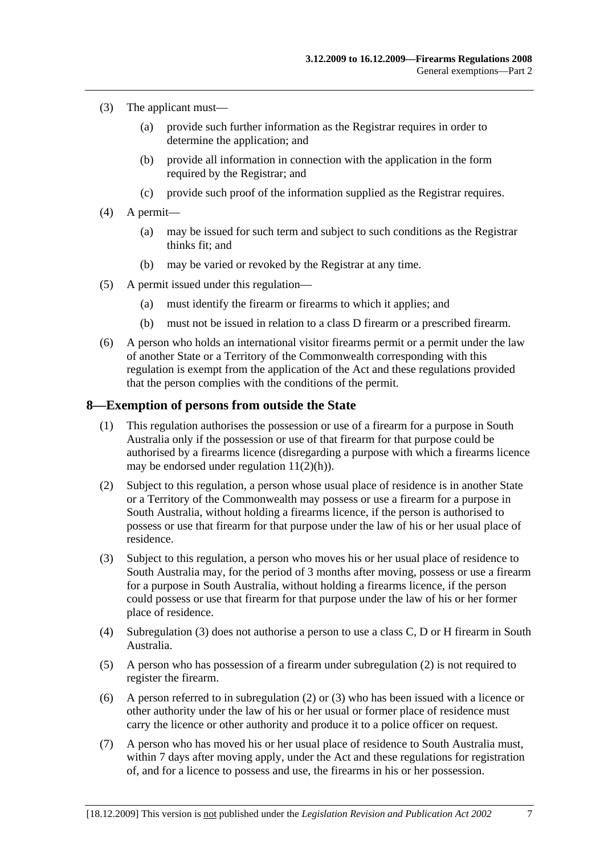- (3) The applicant must—
	- (a) provide such further information as the Registrar requires in order to determine the application; and
	- (b) provide all information in connection with the application in the form required by the Registrar; and
	- (c) provide such proof of the information supplied as the Registrar requires.
- (4) A permit—
	- (a) may be issued for such term and subject to such conditions as the Registrar thinks fit; and
	- (b) may be varied or revoked by the Registrar at any time.
- (5) A permit issued under this regulation—
	- (a) must identify the firearm or firearms to which it applies; and
	- (b) must not be issued in relation to a class D firearm or a prescribed firearm.
- (6) A person who holds an international visitor firearms permit or a permit under the law of another State or a Territory of the Commonwealth corresponding with this regulation is exempt from the application of the Act and these regulations provided that the person complies with the conditions of the permit.

#### **8—Exemption of persons from outside the State**

- (1) This regulation authorises the possession or use of a firearm for a purpose in South Australia only if the possession or use of that firearm for that purpose could be authorised by a firearms licence (disregarding a purpose with which a firearms licence may be endorsed under regulation 11(2)(h)).
- (2) Subject to this regulation, a person whose usual place of residence is in another State or a Territory of the Commonwealth may possess or use a firearm for a purpose in South Australia, without holding a firearms licence, if the person is authorised to possess or use that firearm for that purpose under the law of his or her usual place of residence.
- (3) Subject to this regulation, a person who moves his or her usual place of residence to South Australia may, for the period of 3 months after moving, possess or use a firearm for a purpose in South Australia, without holding a firearms licence, if the person could possess or use that firearm for that purpose under the law of his or her former place of residence.
- (4) Subregulation (3) does not authorise a person to use a class C, D or H firearm in South Australia.
- (5) A person who has possession of a firearm under subregulation (2) is not required to register the firearm.
- (6) A person referred to in subregulation (2) or (3) who has been issued with a licence or other authority under the law of his or her usual or former place of residence must carry the licence or other authority and produce it to a police officer on request.
- (7) A person who has moved his or her usual place of residence to South Australia must, within 7 days after moving apply, under the Act and these regulations for registration of, and for a licence to possess and use, the firearms in his or her possession.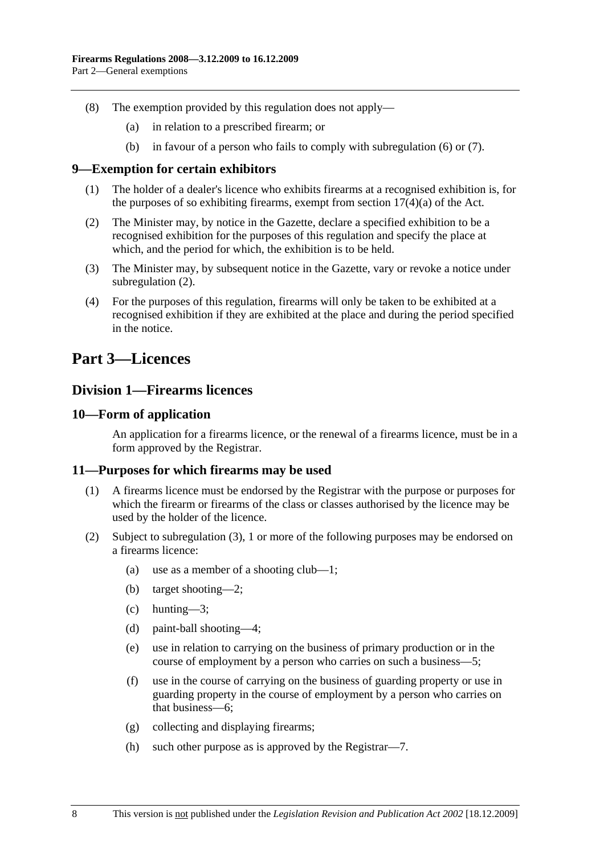- (8) The exemption provided by this regulation does not apply—
	- (a) in relation to a prescribed firearm; or
	- (b) in favour of a person who fails to comply with subregulation (6) or (7).

#### **9—Exemption for certain exhibitors**

- (1) The holder of a dealer's licence who exhibits firearms at a recognised exhibition is, for the purposes of so exhibiting firearms, exempt from section  $17(4)(a)$  of the Act.
- (2) The Minister may, by notice in the Gazette, declare a specified exhibition to be a recognised exhibition for the purposes of this regulation and specify the place at which, and the period for which, the exhibition is to be held.
- (3) The Minister may, by subsequent notice in the Gazette, vary or revoke a notice under subregulation  $(2)$ .
- (4) For the purposes of this regulation, firearms will only be taken to be exhibited at a recognised exhibition if they are exhibited at the place and during the period specified in the notice.

# **Part 3—Licences**

## **Division 1—Firearms licences**

## **10—Form of application**

An application for a firearms licence, or the renewal of a firearms licence, must be in a form approved by the Registrar.

#### **11—Purposes for which firearms may be used**

- (1) A firearms licence must be endorsed by the Registrar with the purpose or purposes for which the firearm or firearms of the class or classes authorised by the licence may be used by the holder of the licence.
- (2) Subject to subregulation (3), 1 or more of the following purposes may be endorsed on a firearms licence:
	- (a) use as a member of a shooting club—1;
	- (b) target shooting—2;
	- (c) hunting—3;
	- (d) paint-ball shooting—4;
	- (e) use in relation to carrying on the business of primary production or in the course of employment by a person who carries on such a business—5;
	- (f) use in the course of carrying on the business of guarding property or use in guarding property in the course of employment by a person who carries on that business—6;
	- (g) collecting and displaying firearms;
	- (h) such other purpose as is approved by the Registrar—7.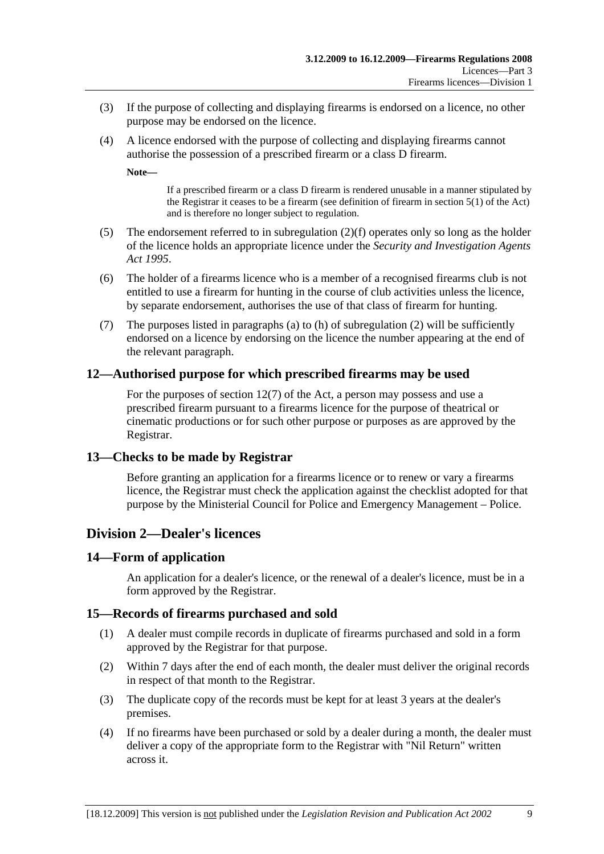- (3) If the purpose of collecting and displaying firearms is endorsed on a licence, no other purpose may be endorsed on the licence.
- (4) A licence endorsed with the purpose of collecting and displaying firearms cannot authorise the possession of a prescribed firearm or a class D firearm.

**Note—** 

If a prescribed firearm or a class D firearm is rendered unusable in a manner stipulated by the Registrar it ceases to be a firearm (see definition of firearm in section 5(1) of the Act) and is therefore no longer subject to regulation.

- (5) The endorsement referred to in subregulation (2)(f) operates only so long as the holder of the licence holds an appropriate licence under the *Security and Investigation Agents Act 1995*.
- (6) The holder of a firearms licence who is a member of a recognised firearms club is not entitled to use a firearm for hunting in the course of club activities unless the licence, by separate endorsement, authorises the use of that class of firearm for hunting.
- (7) The purposes listed in paragraphs (a) to (h) of subregulation (2) will be sufficiently endorsed on a licence by endorsing on the licence the number appearing at the end of the relevant paragraph.

## **12—Authorised purpose for which prescribed firearms may be used**

For the purposes of section 12(7) of the Act, a person may possess and use a prescribed firearm pursuant to a firearms licence for the purpose of theatrical or cinematic productions or for such other purpose or purposes as are approved by the Registrar.

## **13—Checks to be made by Registrar**

Before granting an application for a firearms licence or to renew or vary a firearms licence, the Registrar must check the application against the checklist adopted for that purpose by the Ministerial Council for Police and Emergency Management – Police.

## **Division 2—Dealer's licences**

## **14—Form of application**

An application for a dealer's licence, or the renewal of a dealer's licence, must be in a form approved by the Registrar.

## **15—Records of firearms purchased and sold**

- (1) A dealer must compile records in duplicate of firearms purchased and sold in a form approved by the Registrar for that purpose.
- (2) Within 7 days after the end of each month, the dealer must deliver the original records in respect of that month to the Registrar.
- (3) The duplicate copy of the records must be kept for at least 3 years at the dealer's premises.
- (4) If no firearms have been purchased or sold by a dealer during a month, the dealer must deliver a copy of the appropriate form to the Registrar with "Nil Return" written across it.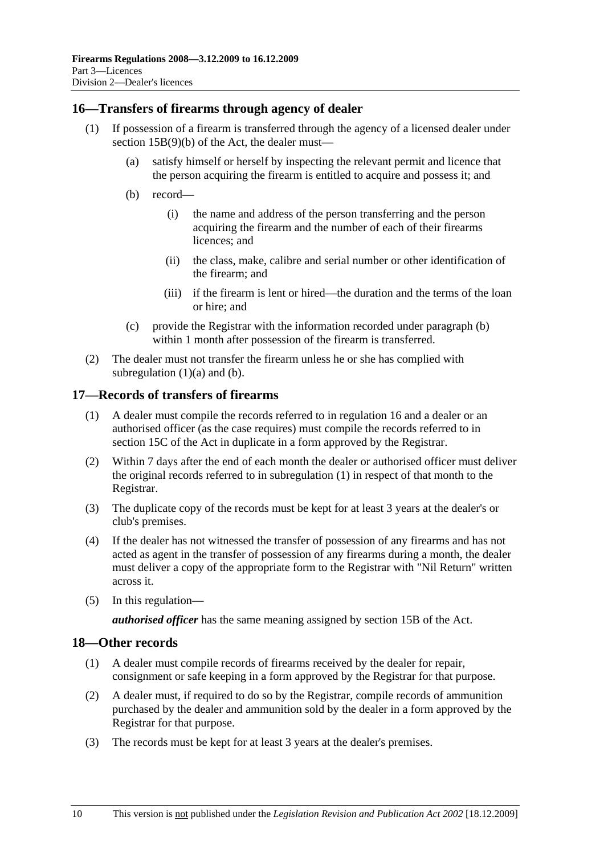## **16—Transfers of firearms through agency of dealer**

- (1) If possession of a firearm is transferred through the agency of a licensed dealer under section 15B(9)(b) of the Act, the dealer must—
	- (a) satisfy himself or herself by inspecting the relevant permit and licence that the person acquiring the firearm is entitled to acquire and possess it; and
	- (b) record—
		- (i) the name and address of the person transferring and the person acquiring the firearm and the number of each of their firearms licences; and
		- (ii) the class, make, calibre and serial number or other identification of the firearm; and
		- (iii) if the firearm is lent or hired—the duration and the terms of the loan or hire; and
	- (c) provide the Registrar with the information recorded under paragraph (b) within 1 month after possession of the firearm is transferred.
- (2) The dealer must not transfer the firearm unless he or she has complied with subregulation  $(1)(a)$  and  $(b)$ .

## **17—Records of transfers of firearms**

- (1) A dealer must compile the records referred to in regulation 16 and a dealer or an authorised officer (as the case requires) must compile the records referred to in section 15C of the Act in duplicate in a form approved by the Registrar.
- (2) Within 7 days after the end of each month the dealer or authorised officer must deliver the original records referred to in subregulation (1) in respect of that month to the Registrar.
- (3) The duplicate copy of the records must be kept for at least 3 years at the dealer's or club's premises.
- (4) If the dealer has not witnessed the transfer of possession of any firearms and has not acted as agent in the transfer of possession of any firearms during a month, the dealer must deliver a copy of the appropriate form to the Registrar with "Nil Return" written across it.
- (5) In this regulation—

*authorised officer* has the same meaning assigned by section 15B of the Act.

#### **18—Other records**

- (1) A dealer must compile records of firearms received by the dealer for repair, consignment or safe keeping in a form approved by the Registrar for that purpose.
- (2) A dealer must, if required to do so by the Registrar, compile records of ammunition purchased by the dealer and ammunition sold by the dealer in a form approved by the Registrar for that purpose.
- (3) The records must be kept for at least 3 years at the dealer's premises.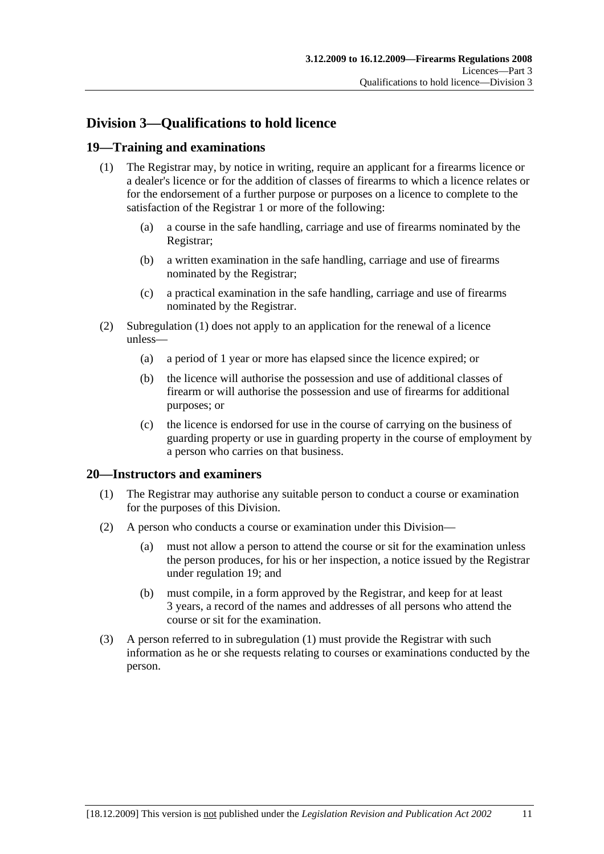# **Division 3—Qualifications to hold licence**

## **19—Training and examinations**

- (1) The Registrar may, by notice in writing, require an applicant for a firearms licence or a dealer's licence or for the addition of classes of firearms to which a licence relates or for the endorsement of a further purpose or purposes on a licence to complete to the satisfaction of the Registrar 1 or more of the following:
	- (a) a course in the safe handling, carriage and use of firearms nominated by the Registrar;
	- (b) a written examination in the safe handling, carriage and use of firearms nominated by the Registrar;
	- (c) a practical examination in the safe handling, carriage and use of firearms nominated by the Registrar.
- (2) Subregulation (1) does not apply to an application for the renewal of a licence unless—
	- (a) a period of 1 year or more has elapsed since the licence expired; or
	- (b) the licence will authorise the possession and use of additional classes of firearm or will authorise the possession and use of firearms for additional purposes; or
	- (c) the licence is endorsed for use in the course of carrying on the business of guarding property or use in guarding property in the course of employment by a person who carries on that business.

#### **20—Instructors and examiners**

- (1) The Registrar may authorise any suitable person to conduct a course or examination for the purposes of this Division.
- (2) A person who conducts a course or examination under this Division—
	- (a) must not allow a person to attend the course or sit for the examination unless the person produces, for his or her inspection, a notice issued by the Registrar under regulation 19; and
	- (b) must compile, in a form approved by the Registrar, and keep for at least 3 years, a record of the names and addresses of all persons who attend the course or sit for the examination.
- (3) A person referred to in subregulation (1) must provide the Registrar with such information as he or she requests relating to courses or examinations conducted by the person.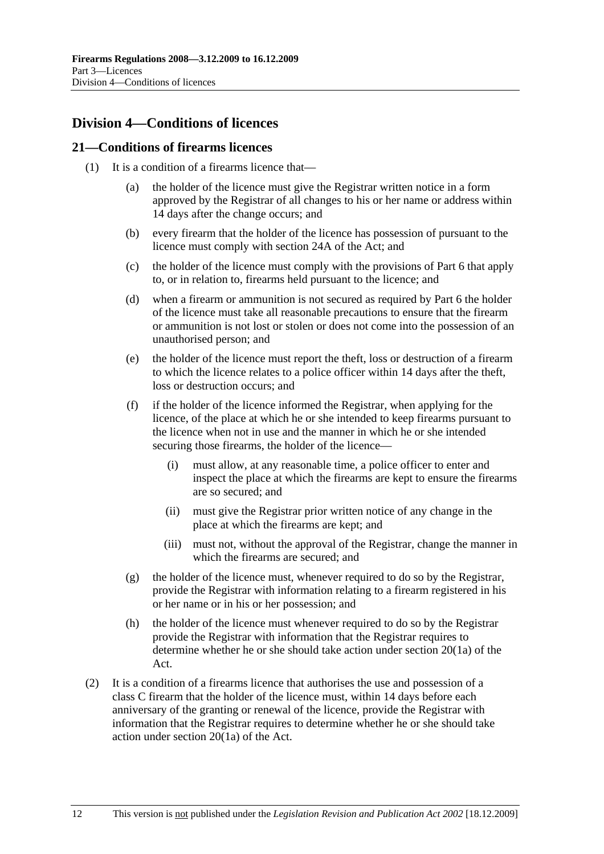# **Division 4—Conditions of licences**

## **21—Conditions of firearms licences**

- (1) It is a condition of a firearms licence that—
	- (a) the holder of the licence must give the Registrar written notice in a form approved by the Registrar of all changes to his or her name or address within 14 days after the change occurs; and
	- (b) every firearm that the holder of the licence has possession of pursuant to the licence must comply with section 24A of the Act; and
	- (c) the holder of the licence must comply with the provisions of Part 6 that apply to, or in relation to, firearms held pursuant to the licence; and
	- (d) when a firearm or ammunition is not secured as required by Part 6 the holder of the licence must take all reasonable precautions to ensure that the firearm or ammunition is not lost or stolen or does not come into the possession of an unauthorised person; and
	- (e) the holder of the licence must report the theft, loss or destruction of a firearm to which the licence relates to a police officer within 14 days after the theft, loss or destruction occurs; and
	- (f) if the holder of the licence informed the Registrar, when applying for the licence, of the place at which he or she intended to keep firearms pursuant to the licence when not in use and the manner in which he or she intended securing those firearms, the holder of the licence—
		- (i) must allow, at any reasonable time, a police officer to enter and inspect the place at which the firearms are kept to ensure the firearms are so secured; and
		- (ii) must give the Registrar prior written notice of any change in the place at which the firearms are kept; and
		- (iii) must not, without the approval of the Registrar, change the manner in which the firearms are secured; and
	- (g) the holder of the licence must, whenever required to do so by the Registrar, provide the Registrar with information relating to a firearm registered in his or her name or in his or her possession; and
	- (h) the holder of the licence must whenever required to do so by the Registrar provide the Registrar with information that the Registrar requires to determine whether he or she should take action under section 20(1a) of the Act.
- (2) It is a condition of a firearms licence that authorises the use and possession of a class C firearm that the holder of the licence must, within 14 days before each anniversary of the granting or renewal of the licence, provide the Registrar with information that the Registrar requires to determine whether he or she should take action under section 20(1a) of the Act.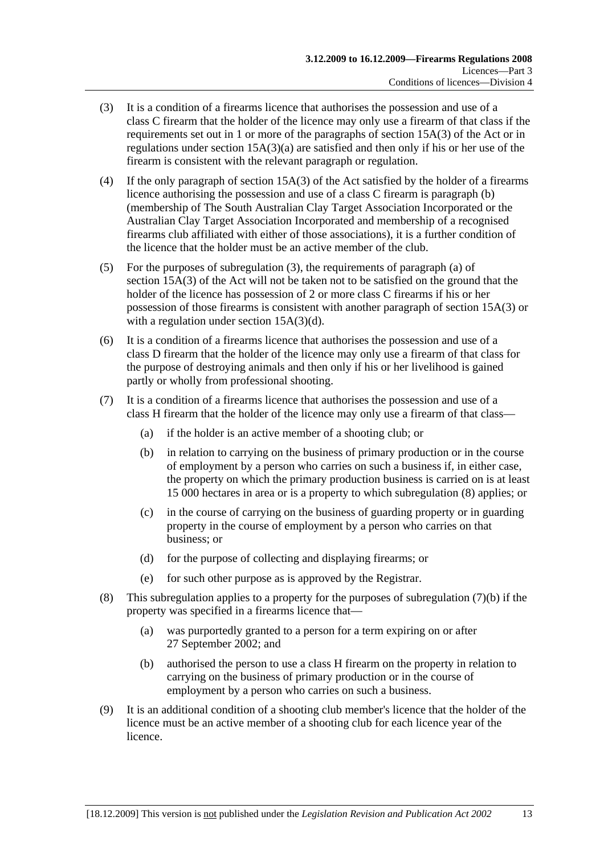- (3) It is a condition of a firearms licence that authorises the possession and use of a class C firearm that the holder of the licence may only use a firearm of that class if the requirements set out in 1 or more of the paragraphs of section 15A(3) of the Act or in regulations under section 15A(3)(a) are satisfied and then only if his or her use of the firearm is consistent with the relevant paragraph or regulation.
- (4) If the only paragraph of section 15A(3) of the Act satisfied by the holder of a firearms licence authorising the possession and use of a class C firearm is paragraph (b) (membership of The South Australian Clay Target Association Incorporated or the Australian Clay Target Association Incorporated and membership of a recognised firearms club affiliated with either of those associations), it is a further condition of the licence that the holder must be an active member of the club.
- (5) For the purposes of subregulation (3), the requirements of paragraph (a) of section 15A(3) of the Act will not be taken not to be satisfied on the ground that the holder of the licence has possession of 2 or more class C firearms if his or her possession of those firearms is consistent with another paragraph of section 15A(3) or with a regulation under section 15A(3)(d).
- (6) It is a condition of a firearms licence that authorises the possession and use of a class D firearm that the holder of the licence may only use a firearm of that class for the purpose of destroying animals and then only if his or her livelihood is gained partly or wholly from professional shooting.
- (7) It is a condition of a firearms licence that authorises the possession and use of a class H firearm that the holder of the licence may only use a firearm of that class—
	- (a) if the holder is an active member of a shooting club; or
	- (b) in relation to carrying on the business of primary production or in the course of employment by a person who carries on such a business if, in either case, the property on which the primary production business is carried on is at least 15 000 hectares in area or is a property to which subregulation (8) applies; or
	- (c) in the course of carrying on the business of guarding property or in guarding property in the course of employment by a person who carries on that business; or
	- (d) for the purpose of collecting and displaying firearms; or
	- (e) for such other purpose as is approved by the Registrar.
- (8) This subregulation applies to a property for the purposes of subregulation  $(7)(b)$  if the property was specified in a firearms licence that—
	- (a) was purportedly granted to a person for a term expiring on or after 27 September 2002; and
	- (b) authorised the person to use a class H firearm on the property in relation to carrying on the business of primary production or in the course of employment by a person who carries on such a business.
- (9) It is an additional condition of a shooting club member's licence that the holder of the licence must be an active member of a shooting club for each licence year of the licence.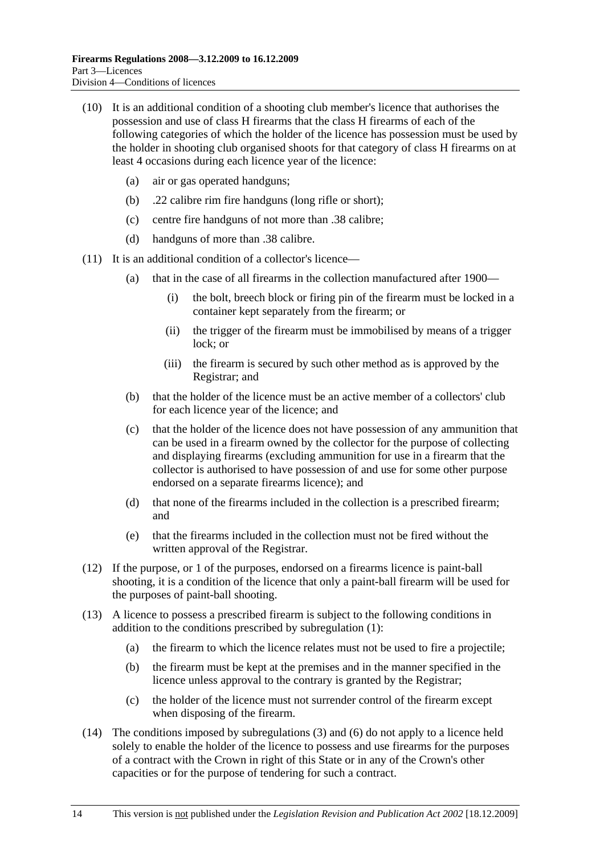- (10) It is an additional condition of a shooting club member's licence that authorises the possession and use of class H firearms that the class H firearms of each of the following categories of which the holder of the licence has possession must be used by the holder in shooting club organised shoots for that category of class H firearms on at least 4 occasions during each licence year of the licence:
	- (a) air or gas operated handguns;
	- (b) .22 calibre rim fire handguns (long rifle or short);
	- (c) centre fire handguns of not more than .38 calibre;
	- (d) handguns of more than .38 calibre.
- (11) It is an additional condition of a collector's licence—
	- (a) that in the case of all firearms in the collection manufactured after 1900—
		- (i) the bolt, breech block or firing pin of the firearm must be locked in a container kept separately from the firearm; or
		- (ii) the trigger of the firearm must be immobilised by means of a trigger lock; or
		- (iii) the firearm is secured by such other method as is approved by the Registrar; and
	- (b) that the holder of the licence must be an active member of a collectors' club for each licence year of the licence; and
	- (c) that the holder of the licence does not have possession of any ammunition that can be used in a firearm owned by the collector for the purpose of collecting and displaying firearms (excluding ammunition for use in a firearm that the collector is authorised to have possession of and use for some other purpose endorsed on a separate firearms licence); and
	- (d) that none of the firearms included in the collection is a prescribed firearm; and
	- (e) that the firearms included in the collection must not be fired without the written approval of the Registrar.
- (12) If the purpose, or 1 of the purposes, endorsed on a firearms licence is paint-ball shooting, it is a condition of the licence that only a paint-ball firearm will be used for the purposes of paint-ball shooting.
- (13) A licence to possess a prescribed firearm is subject to the following conditions in addition to the conditions prescribed by subregulation (1):
	- (a) the firearm to which the licence relates must not be used to fire a projectile;
	- (b) the firearm must be kept at the premises and in the manner specified in the licence unless approval to the contrary is granted by the Registrar;
	- (c) the holder of the licence must not surrender control of the firearm except when disposing of the firearm.
- (14) The conditions imposed by subregulations (3) and (6) do not apply to a licence held solely to enable the holder of the licence to possess and use firearms for the purposes of a contract with the Crown in right of this State or in any of the Crown's other capacities or for the purpose of tendering for such a contract.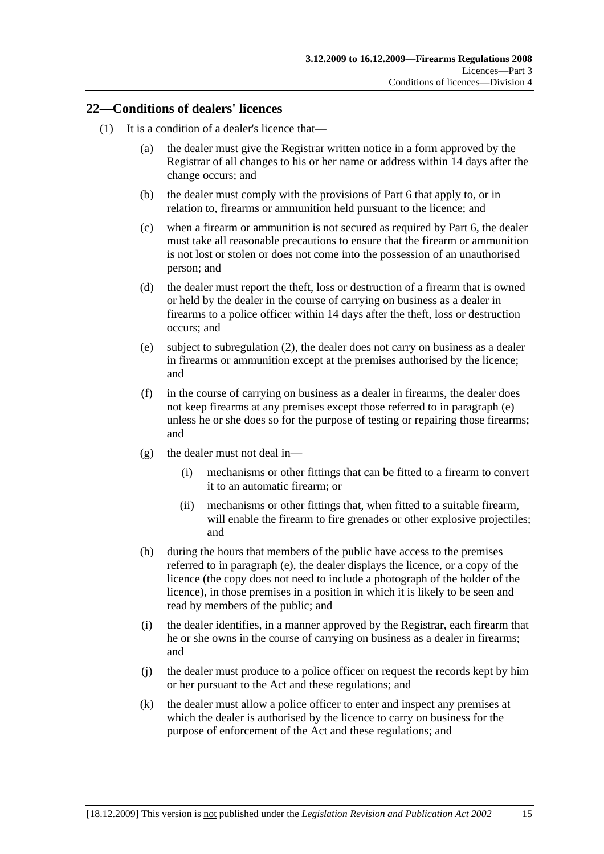## **22—Conditions of dealers' licences**

- (1) It is a condition of a dealer's licence that—
	- (a) the dealer must give the Registrar written notice in a form approved by the Registrar of all changes to his or her name or address within 14 days after the change occurs; and
	- (b) the dealer must comply with the provisions of Part 6 that apply to, or in relation to, firearms or ammunition held pursuant to the licence; and
	- (c) when a firearm or ammunition is not secured as required by Part 6, the dealer must take all reasonable precautions to ensure that the firearm or ammunition is not lost or stolen or does not come into the possession of an unauthorised person; and
	- (d) the dealer must report the theft, loss or destruction of a firearm that is owned or held by the dealer in the course of carrying on business as a dealer in firearms to a police officer within 14 days after the theft, loss or destruction occurs; and
	- (e) subject to subregulation (2), the dealer does not carry on business as a dealer in firearms or ammunition except at the premises authorised by the licence; and
	- (f) in the course of carrying on business as a dealer in firearms, the dealer does not keep firearms at any premises except those referred to in paragraph (e) unless he or she does so for the purpose of testing or repairing those firearms; and
	- (g) the dealer must not deal in—
		- (i) mechanisms or other fittings that can be fitted to a firearm to convert it to an automatic firearm; or
		- (ii) mechanisms or other fittings that, when fitted to a suitable firearm, will enable the firearm to fire grenades or other explosive projectiles; and
	- (h) during the hours that members of the public have access to the premises referred to in paragraph (e), the dealer displays the licence, or a copy of the licence (the copy does not need to include a photograph of the holder of the licence), in those premises in a position in which it is likely to be seen and read by members of the public; and
	- (i) the dealer identifies, in a manner approved by the Registrar, each firearm that he or she owns in the course of carrying on business as a dealer in firearms; and
	- (j) the dealer must produce to a police officer on request the records kept by him or her pursuant to the Act and these regulations; and
	- (k) the dealer must allow a police officer to enter and inspect any premises at which the dealer is authorised by the licence to carry on business for the purpose of enforcement of the Act and these regulations; and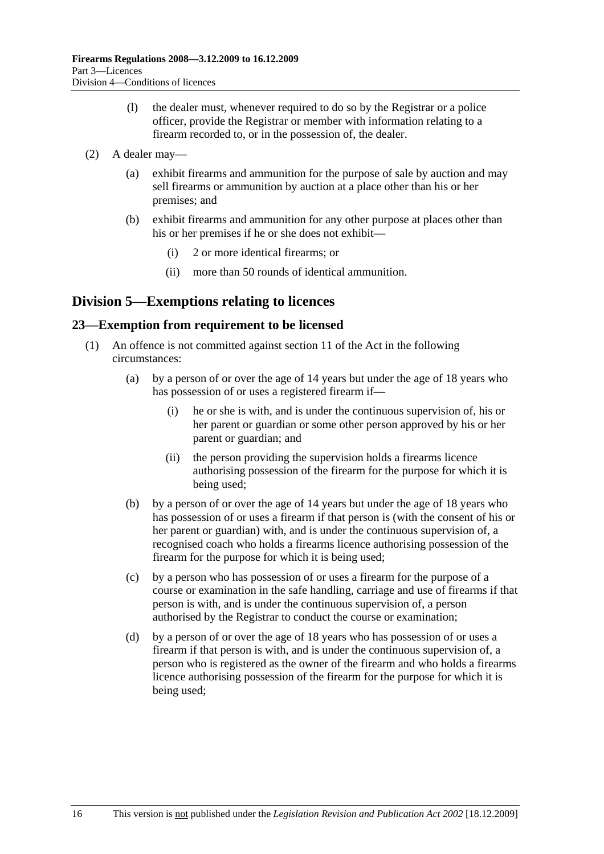- (l) the dealer must, whenever required to do so by the Registrar or a police officer, provide the Registrar or member with information relating to a firearm recorded to, or in the possession of, the dealer.
- (2) A dealer may—
	- (a) exhibit firearms and ammunition for the purpose of sale by auction and may sell firearms or ammunition by auction at a place other than his or her premises; and
	- (b) exhibit firearms and ammunition for any other purpose at places other than his or her premises if he or she does not exhibit—
		- (i) 2 or more identical firearms; or
		- (ii) more than 50 rounds of identical ammunition.

# **Division 5—Exemptions relating to licences**

## **23—Exemption from requirement to be licensed**

- (1) An offence is not committed against section 11 of the Act in the following circumstances:
	- (a) by a person of or over the age of 14 years but under the age of 18 years who has possession of or uses a registered firearm if—
		- (i) he or she is with, and is under the continuous supervision of, his or her parent or guardian or some other person approved by his or her parent or guardian; and
		- (ii) the person providing the supervision holds a firearms licence authorising possession of the firearm for the purpose for which it is being used;
	- (b) by a person of or over the age of 14 years but under the age of 18 years who has possession of or uses a firearm if that person is (with the consent of his or her parent or guardian) with, and is under the continuous supervision of, a recognised coach who holds a firearms licence authorising possession of the firearm for the purpose for which it is being used;
	- (c) by a person who has possession of or uses a firearm for the purpose of a course or examination in the safe handling, carriage and use of firearms if that person is with, and is under the continuous supervision of, a person authorised by the Registrar to conduct the course or examination;
	- (d) by a person of or over the age of 18 years who has possession of or uses a firearm if that person is with, and is under the continuous supervision of, a person who is registered as the owner of the firearm and who holds a firearms licence authorising possession of the firearm for the purpose for which it is being used;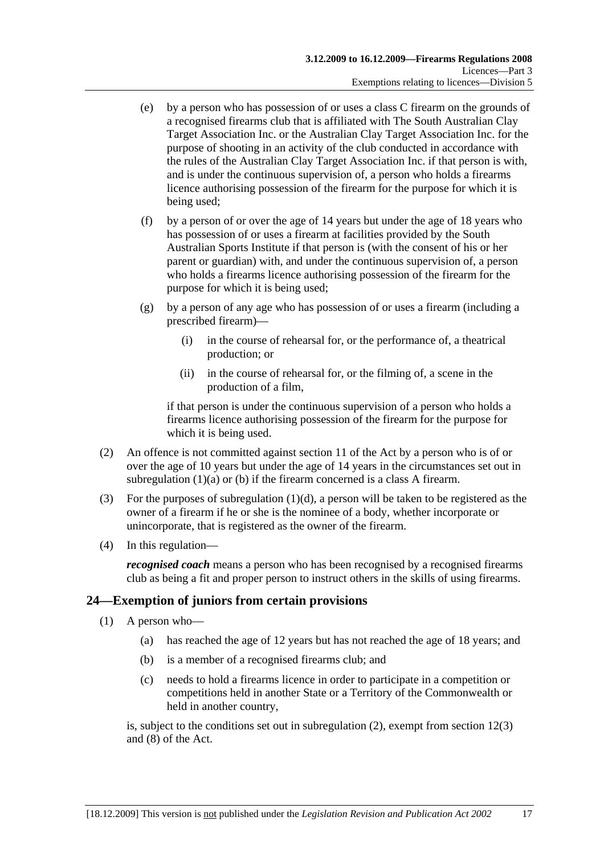- (e) by a person who has possession of or uses a class C firearm on the grounds of a recognised firearms club that is affiliated with The South Australian Clay Target Association Inc. or the Australian Clay Target Association Inc. for the purpose of shooting in an activity of the club conducted in accordance with the rules of the Australian Clay Target Association Inc. if that person is with, and is under the continuous supervision of, a person who holds a firearms licence authorising possession of the firearm for the purpose for which it is being used;
- (f) by a person of or over the age of 14 years but under the age of 18 years who has possession of or uses a firearm at facilities provided by the South Australian Sports Institute if that person is (with the consent of his or her parent or guardian) with, and under the continuous supervision of, a person who holds a firearms licence authorising possession of the firearm for the purpose for which it is being used;
- (g) by a person of any age who has possession of or uses a firearm (including a prescribed firearm)—
	- (i) in the course of rehearsal for, or the performance of, a theatrical production; or
	- (ii) in the course of rehearsal for, or the filming of, a scene in the production of a film,

if that person is under the continuous supervision of a person who holds a firearms licence authorising possession of the firearm for the purpose for which it is being used.

- (2) An offence is not committed against section 11 of the Act by a person who is of or over the age of 10 years but under the age of 14 years in the circumstances set out in subregulation (1)(a) or (b) if the firearm concerned is a class A firearm.
- (3) For the purposes of subregulation  $(1)(d)$ , a person will be taken to be registered as the owner of a firearm if he or she is the nominee of a body, whether incorporate or unincorporate, that is registered as the owner of the firearm.
- (4) In this regulation—

*recognised coach* means a person who has been recognised by a recognised firearms club as being a fit and proper person to instruct others in the skills of using firearms.

## **24—Exemption of juniors from certain provisions**

- (1) A person who—
	- (a) has reached the age of 12 years but has not reached the age of 18 years; and
	- (b) is a member of a recognised firearms club; and
	- (c) needs to hold a firearms licence in order to participate in a competition or competitions held in another State or a Territory of the Commonwealth or held in another country,

is, subject to the conditions set out in subregulation (2), exempt from section 12(3) and (8) of the Act.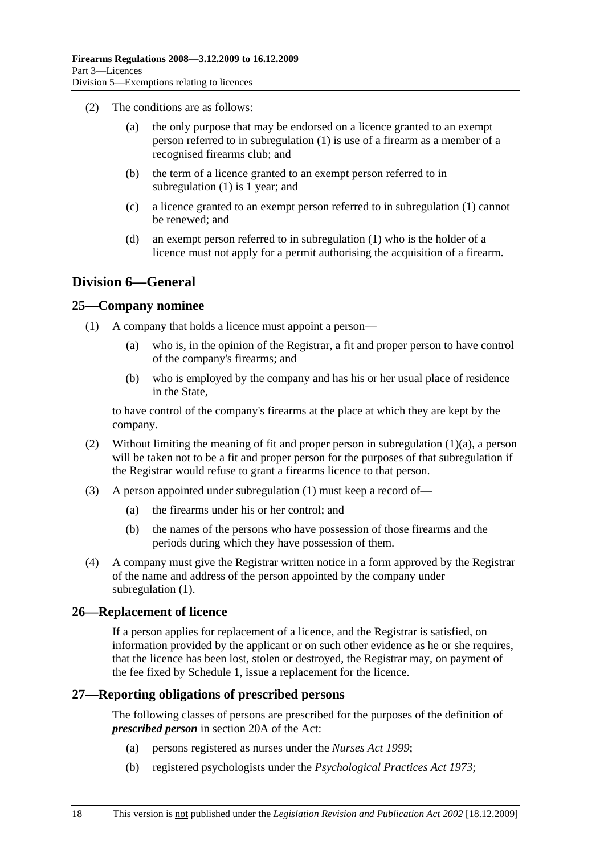- (2) The conditions are as follows:
	- (a) the only purpose that may be endorsed on a licence granted to an exempt person referred to in subregulation (1) is use of a firearm as a member of a recognised firearms club; and
	- (b) the term of a licence granted to an exempt person referred to in subregulation (1) is 1 year; and
	- (c) a licence granted to an exempt person referred to in subregulation (1) cannot be renewed; and
	- (d) an exempt person referred to in subregulation (1) who is the holder of a licence must not apply for a permit authorising the acquisition of a firearm.

## **Division 6—General**

## **25—Company nominee**

- (1) A company that holds a licence must appoint a person—
	- (a) who is, in the opinion of the Registrar, a fit and proper person to have control of the company's firearms; and
	- (b) who is employed by the company and has his or her usual place of residence in the State,

to have control of the company's firearms at the place at which they are kept by the company.

- (2) Without limiting the meaning of fit and proper person in subregulation (1)(a), a person will be taken not to be a fit and proper person for the purposes of that subregulation if the Registrar would refuse to grant a firearms licence to that person.
- (3) A person appointed under subregulation (1) must keep a record of—
	- (a) the firearms under his or her control; and
	- (b) the names of the persons who have possession of those firearms and the periods during which they have possession of them.
- (4) A company must give the Registrar written notice in a form approved by the Registrar of the name and address of the person appointed by the company under subregulation  $(1)$ .

## **26—Replacement of licence**

If a person applies for replacement of a licence, and the Registrar is satisfied, on information provided by the applicant or on such other evidence as he or she requires, that the licence has been lost, stolen or destroyed, the Registrar may, on payment of the fee fixed by Schedule 1, issue a replacement for the licence.

## **27—Reporting obligations of prescribed persons**

The following classes of persons are prescribed for the purposes of the definition of *prescribed person* in section 20A of the Act:

- (a) persons registered as nurses under the *Nurses Act 1999*;
- (b) registered psychologists under the *Psychological Practices Act 1973*;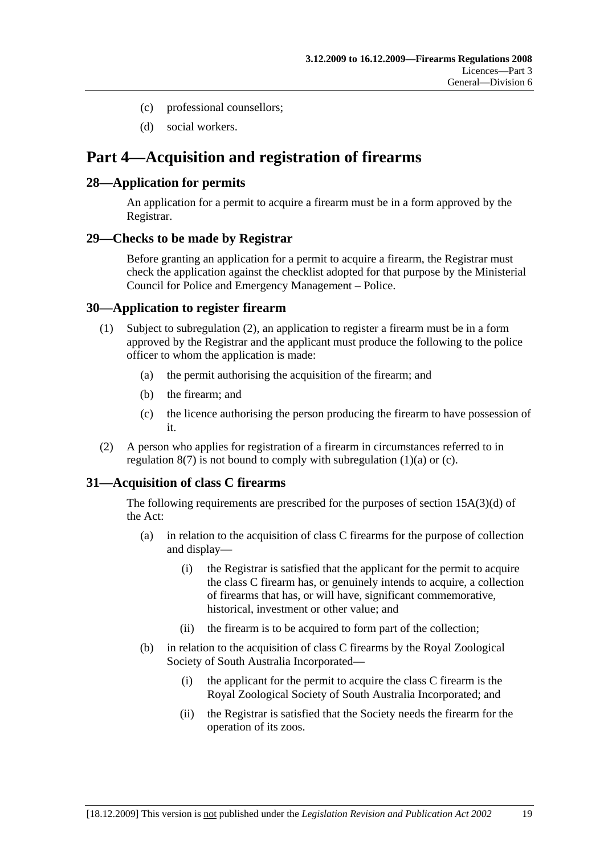- (c) professional counsellors;
- (d) social workers.

# **Part 4—Acquisition and registration of firearms**

## **28—Application for permits**

An application for a permit to acquire a firearm must be in a form approved by the Registrar.

#### **29—Checks to be made by Registrar**

Before granting an application for a permit to acquire a firearm, the Registrar must check the application against the checklist adopted for that purpose by the Ministerial Council for Police and Emergency Management – Police.

## **30—Application to register firearm**

- (1) Subject to subregulation (2), an application to register a firearm must be in a form approved by the Registrar and the applicant must produce the following to the police officer to whom the application is made:
	- (a) the permit authorising the acquisition of the firearm; and
	- (b) the firearm; and
	- (c) the licence authorising the person producing the firearm to have possession of it.
- (2) A person who applies for registration of a firearm in circumstances referred to in regulation  $8(7)$  is not bound to comply with subregulation  $(1)(a)$  or  $(c)$ .

## **31—Acquisition of class C firearms**

The following requirements are prescribed for the purposes of section 15A(3)(d) of the Act:

- (a) in relation to the acquisition of class C firearms for the purpose of collection and display—
	- (i) the Registrar is satisfied that the applicant for the permit to acquire the class C firearm has, or genuinely intends to acquire, a collection of firearms that has, or will have, significant commemorative, historical, investment or other value; and
	- (ii) the firearm is to be acquired to form part of the collection;
- (b) in relation to the acquisition of class C firearms by the Royal Zoological Society of South Australia Incorporated—
	- (i) the applicant for the permit to acquire the class C firearm is the Royal Zoological Society of South Australia Incorporated; and
	- (ii) the Registrar is satisfied that the Society needs the firearm for the operation of its zoos.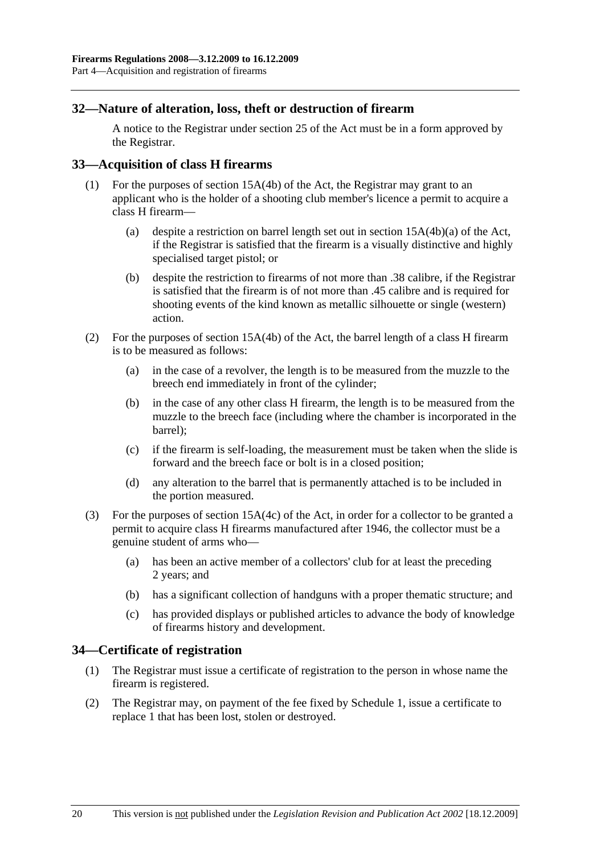## **32—Nature of alteration, loss, theft or destruction of firearm**

A notice to the Registrar under section 25 of the Act must be in a form approved by the Registrar.

## **33—Acquisition of class H firearms**

- (1) For the purposes of section 15A(4b) of the Act, the Registrar may grant to an applicant who is the holder of a shooting club member's licence a permit to acquire a class H firearm—
	- (a) despite a restriction on barrel length set out in section 15A(4b)(a) of the Act, if the Registrar is satisfied that the firearm is a visually distinctive and highly specialised target pistol; or
	- (b) despite the restriction to firearms of not more than .38 calibre, if the Registrar is satisfied that the firearm is of not more than .45 calibre and is required for shooting events of the kind known as metallic silhouette or single (western) action.
- (2) For the purposes of section 15A(4b) of the Act, the barrel length of a class H firearm is to be measured as follows:
	- (a) in the case of a revolver, the length is to be measured from the muzzle to the breech end immediately in front of the cylinder;
	- (b) in the case of any other class H firearm, the length is to be measured from the muzzle to the breech face (including where the chamber is incorporated in the barrel);
	- (c) if the firearm is self-loading, the measurement must be taken when the slide is forward and the breech face or bolt is in a closed position;
	- (d) any alteration to the barrel that is permanently attached is to be included in the portion measured.
- (3) For the purposes of section 15A(4c) of the Act, in order for a collector to be granted a permit to acquire class H firearms manufactured after 1946, the collector must be a genuine student of arms who—
	- (a) has been an active member of a collectors' club for at least the preceding 2 years; and
	- (b) has a significant collection of handguns with a proper thematic structure; and
	- (c) has provided displays or published articles to advance the body of knowledge of firearms history and development.

#### **34—Certificate of registration**

- (1) The Registrar must issue a certificate of registration to the person in whose name the firearm is registered.
- (2) The Registrar may, on payment of the fee fixed by Schedule 1, issue a certificate to replace 1 that has been lost, stolen or destroyed.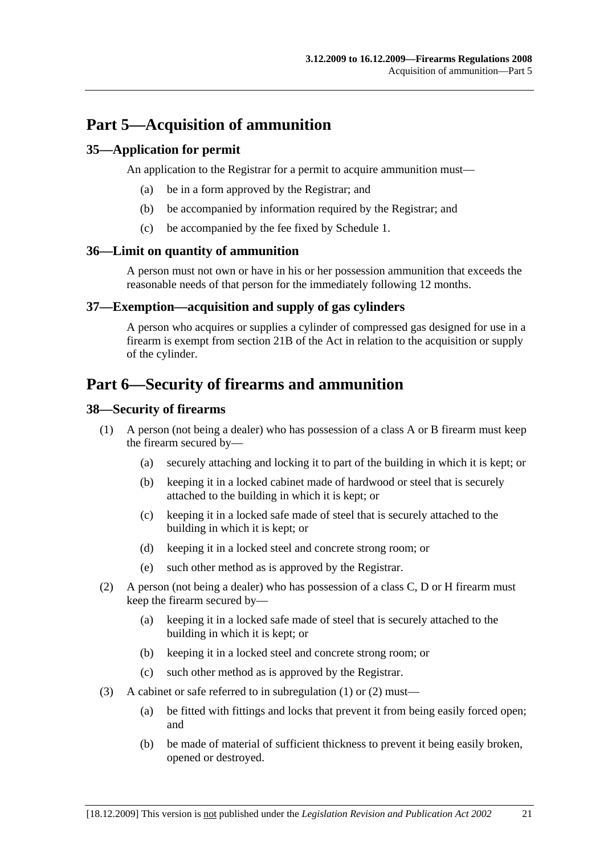# **Part 5—Acquisition of ammunition**

## **35—Application for permit**

An application to the Registrar for a permit to acquire ammunition must—

- (a) be in a form approved by the Registrar; and
- (b) be accompanied by information required by the Registrar; and
- (c) be accompanied by the fee fixed by Schedule 1.

## **36—Limit on quantity of ammunition**

A person must not own or have in his or her possession ammunition that exceeds the reasonable needs of that person for the immediately following 12 months.

## **37—Exemption—acquisition and supply of gas cylinders**

A person who acquires or supplies a cylinder of compressed gas designed for use in a firearm is exempt from section 21B of the Act in relation to the acquisition or supply of the cylinder.

# **Part 6—Security of firearms and ammunition**

## **38—Security of firearms**

- (1) A person (not being a dealer) who has possession of a class A or B firearm must keep the firearm secured by—
	- (a) securely attaching and locking it to part of the building in which it is kept; or
	- (b) keeping it in a locked cabinet made of hardwood or steel that is securely attached to the building in which it is kept; or
	- (c) keeping it in a locked safe made of steel that is securely attached to the building in which it is kept; or
	- (d) keeping it in a locked steel and concrete strong room; or
	- (e) such other method as is approved by the Registrar.
- (2) A person (not being a dealer) who has possession of a class C, D or H firearm must keep the firearm secured by—
	- (a) keeping it in a locked safe made of steel that is securely attached to the building in which it is kept; or
	- (b) keeping it in a locked steel and concrete strong room; or
	- (c) such other method as is approved by the Registrar.
- (3) A cabinet or safe referred to in subregulation (1) or (2) must—
	- (a) be fitted with fittings and locks that prevent it from being easily forced open; and
	- (b) be made of material of sufficient thickness to prevent it being easily broken, opened or destroyed.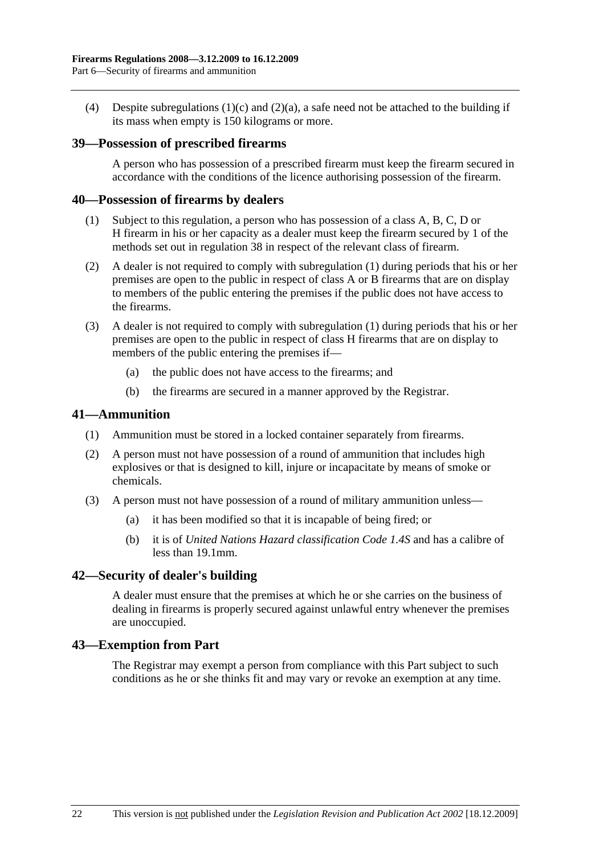(4) Despite subregulations (1)(c) and (2)(a), a safe need not be attached to the building if its mass when empty is 150 kilograms or more.

## **39—Possession of prescribed firearms**

A person who has possession of a prescribed firearm must keep the firearm secured in accordance with the conditions of the licence authorising possession of the firearm.

#### **40—Possession of firearms by dealers**

- (1) Subject to this regulation, a person who has possession of a class A, B, C, D or H firearm in his or her capacity as a dealer must keep the firearm secured by 1 of the methods set out in regulation 38 in respect of the relevant class of firearm.
- (2) A dealer is not required to comply with subregulation (1) during periods that his or her premises are open to the public in respect of class A or B firearms that are on display to members of the public entering the premises if the public does not have access to the firearms.
- (3) A dealer is not required to comply with subregulation (1) during periods that his or her premises are open to the public in respect of class H firearms that are on display to members of the public entering the premises if—
	- (a) the public does not have access to the firearms; and
	- (b) the firearms are secured in a manner approved by the Registrar.

#### **41—Ammunition**

- (1) Ammunition must be stored in a locked container separately from firearms.
- (2) A person must not have possession of a round of ammunition that includes high explosives or that is designed to kill, injure or incapacitate by means of smoke or chemicals.
- (3) A person must not have possession of a round of military ammunition unless—
	- (a) it has been modified so that it is incapable of being fired; or
	- (b) it is of *United Nations Hazard classification Code 1.4S* and has a calibre of less than 19.1mm.

#### **42—Security of dealer's building**

A dealer must ensure that the premises at which he or she carries on the business of dealing in firearms is properly secured against unlawful entry whenever the premises are unoccupied.

#### **43—Exemption from Part**

The Registrar may exempt a person from compliance with this Part subject to such conditions as he or she thinks fit and may vary or revoke an exemption at any time.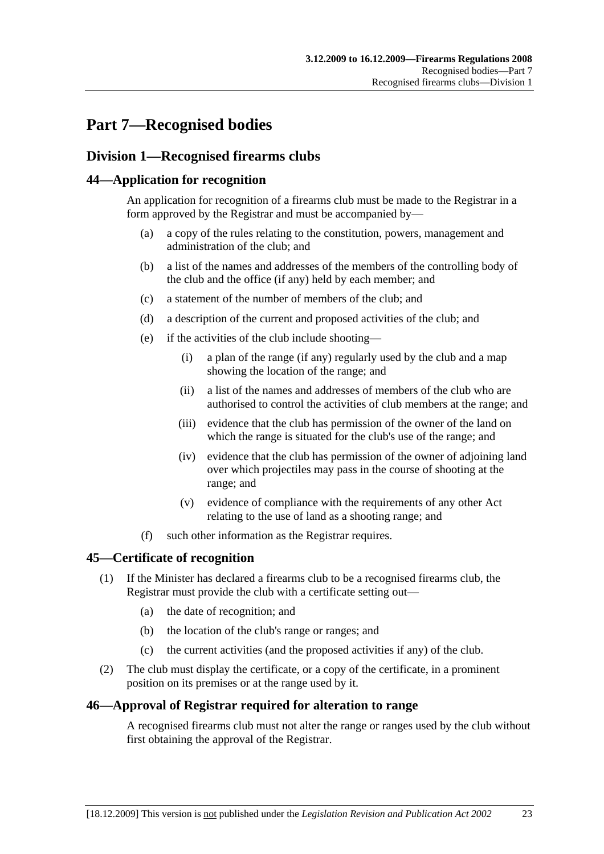# **Part 7—Recognised bodies**

## **Division 1—Recognised firearms clubs**

## **44—Application for recognition**

An application for recognition of a firearms club must be made to the Registrar in a form approved by the Registrar and must be accompanied by—

- (a) a copy of the rules relating to the constitution, powers, management and administration of the club; and
- (b) a list of the names and addresses of the members of the controlling body of the club and the office (if any) held by each member; and
- (c) a statement of the number of members of the club; and
- (d) a description of the current and proposed activities of the club; and
- (e) if the activities of the club include shooting—
	- (i) a plan of the range (if any) regularly used by the club and a map showing the location of the range; and
	- (ii) a list of the names and addresses of members of the club who are authorised to control the activities of club members at the range; and
	- (iii) evidence that the club has permission of the owner of the land on which the range is situated for the club's use of the range; and
	- (iv) evidence that the club has permission of the owner of adjoining land over which projectiles may pass in the course of shooting at the range; and
	- (v) evidence of compliance with the requirements of any other Act relating to the use of land as a shooting range; and
- (f) such other information as the Registrar requires.

## **45—Certificate of recognition**

- (1) If the Minister has declared a firearms club to be a recognised firearms club, the Registrar must provide the club with a certificate setting out—
	- (a) the date of recognition; and
	- (b) the location of the club's range or ranges; and
	- (c) the current activities (and the proposed activities if any) of the club.
- (2) The club must display the certificate, or a copy of the certificate, in a prominent position on its premises or at the range used by it.

## **46—Approval of Registrar required for alteration to range**

A recognised firearms club must not alter the range or ranges used by the club without first obtaining the approval of the Registrar.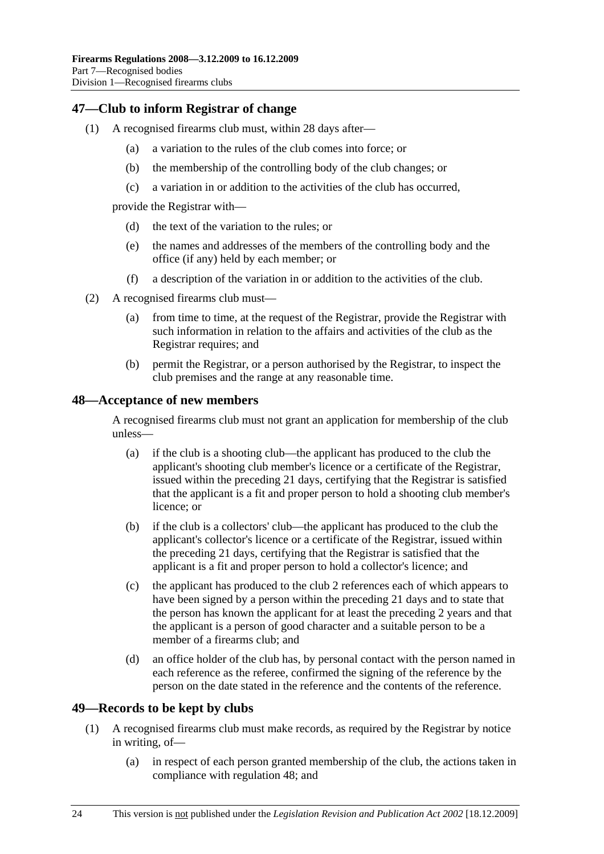## **47—Club to inform Registrar of change**

- (1) A recognised firearms club must, within 28 days after—
	- (a) a variation to the rules of the club comes into force; or
	- (b) the membership of the controlling body of the club changes; or
	- (c) a variation in or addition to the activities of the club has occurred,

provide the Registrar with—

- (d) the text of the variation to the rules; or
- (e) the names and addresses of the members of the controlling body and the office (if any) held by each member; or
- (f) a description of the variation in or addition to the activities of the club.
- (2) A recognised firearms club must—
	- (a) from time to time, at the request of the Registrar, provide the Registrar with such information in relation to the affairs and activities of the club as the Registrar requires; and
	- (b) permit the Registrar, or a person authorised by the Registrar, to inspect the club premises and the range at any reasonable time.

## **48—Acceptance of new members**

A recognised firearms club must not grant an application for membership of the club unless—

- (a) if the club is a shooting club—the applicant has produced to the club the applicant's shooting club member's licence or a certificate of the Registrar, issued within the preceding 21 days, certifying that the Registrar is satisfied that the applicant is a fit and proper person to hold a shooting club member's licence; or
- (b) if the club is a collectors' club—the applicant has produced to the club the applicant's collector's licence or a certificate of the Registrar, issued within the preceding 21 days, certifying that the Registrar is satisfied that the applicant is a fit and proper person to hold a collector's licence; and
- (c) the applicant has produced to the club 2 references each of which appears to have been signed by a person within the preceding 21 days and to state that the person has known the applicant for at least the preceding 2 years and that the applicant is a person of good character and a suitable person to be a member of a firearms club; and
- (d) an office holder of the club has, by personal contact with the person named in each reference as the referee, confirmed the signing of the reference by the person on the date stated in the reference and the contents of the reference.

## **49—Records to be kept by clubs**

- (1) A recognised firearms club must make records, as required by the Registrar by notice in writing, of—
	- (a) in respect of each person granted membership of the club, the actions taken in compliance with regulation 48; and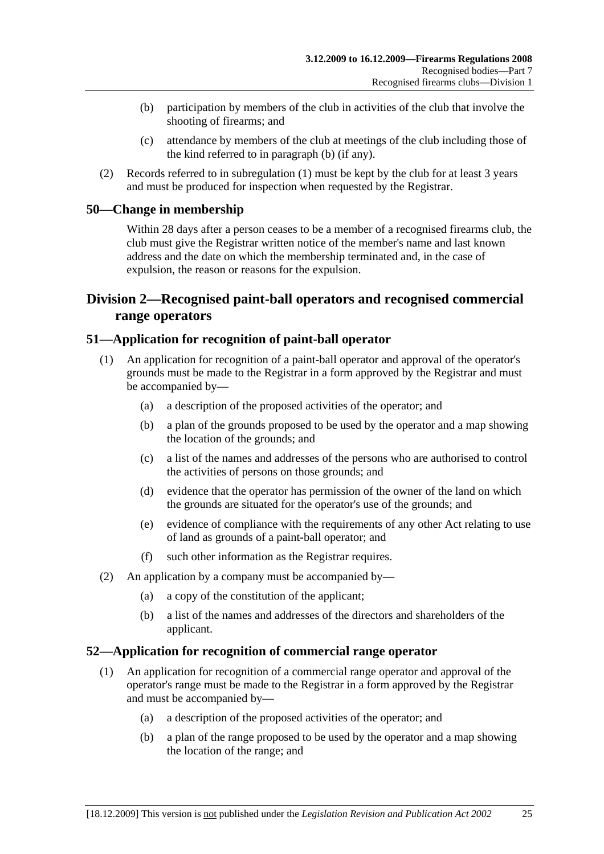- (b) participation by members of the club in activities of the club that involve the shooting of firearms; and
- (c) attendance by members of the club at meetings of the club including those of the kind referred to in paragraph (b) (if any).
- (2) Records referred to in subregulation (1) must be kept by the club for at least 3 years and must be produced for inspection when requested by the Registrar.

## **50—Change in membership**

Within 28 days after a person ceases to be a member of a recognised firearms club, the club must give the Registrar written notice of the member's name and last known address and the date on which the membership terminated and, in the case of expulsion, the reason or reasons for the expulsion.

## **Division 2—Recognised paint-ball operators and recognised commercial range operators**

## **51—Application for recognition of paint-ball operator**

- (1) An application for recognition of a paint-ball operator and approval of the operator's grounds must be made to the Registrar in a form approved by the Registrar and must be accompanied by—
	- (a) a description of the proposed activities of the operator; and
	- (b) a plan of the grounds proposed to be used by the operator and a map showing the location of the grounds; and
	- (c) a list of the names and addresses of the persons who are authorised to control the activities of persons on those grounds; and
	- (d) evidence that the operator has permission of the owner of the land on which the grounds are situated for the operator's use of the grounds; and
	- (e) evidence of compliance with the requirements of any other Act relating to use of land as grounds of a paint-ball operator; and
	- (f) such other information as the Registrar requires.
- (2) An application by a company must be accompanied by—
	- (a) a copy of the constitution of the applicant;
	- (b) a list of the names and addresses of the directors and shareholders of the applicant.

## **52—Application for recognition of commercial range operator**

- (1) An application for recognition of a commercial range operator and approval of the operator's range must be made to the Registrar in a form approved by the Registrar and must be accompanied by—
	- (a) a description of the proposed activities of the operator; and
	- (b) a plan of the range proposed to be used by the operator and a map showing the location of the range; and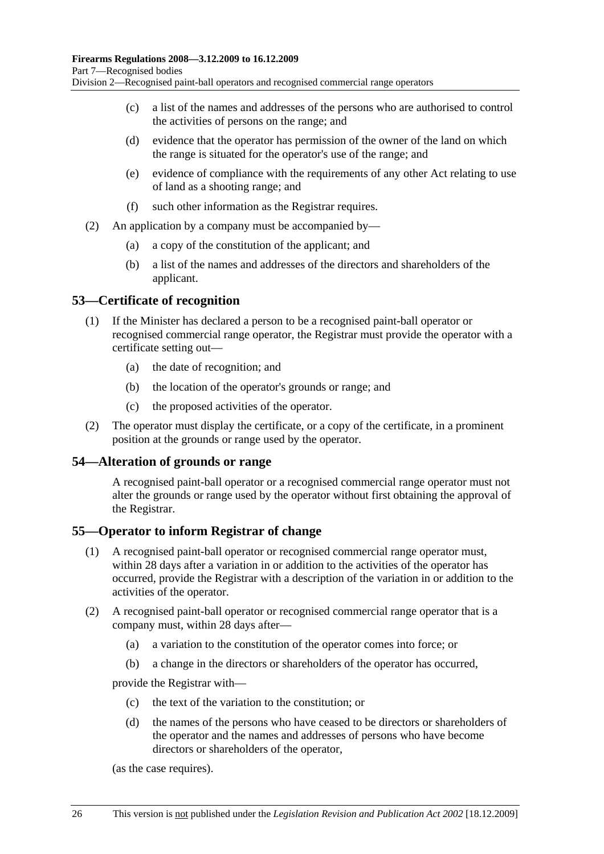- (c) a list of the names and addresses of the persons who are authorised to control the activities of persons on the range; and
- (d) evidence that the operator has permission of the owner of the land on which the range is situated for the operator's use of the range; and
- (e) evidence of compliance with the requirements of any other Act relating to use of land as a shooting range; and
- (f) such other information as the Registrar requires.
- (2) An application by a company must be accompanied by—
	- (a) a copy of the constitution of the applicant; and
	- (b) a list of the names and addresses of the directors and shareholders of the applicant.

## **53—Certificate of recognition**

- (1) If the Minister has declared a person to be a recognised paint-ball operator or recognised commercial range operator, the Registrar must provide the operator with a certificate setting out—
	- (a) the date of recognition; and
	- (b) the location of the operator's grounds or range; and
	- (c) the proposed activities of the operator.
- (2) The operator must display the certificate, or a copy of the certificate, in a prominent position at the grounds or range used by the operator.

#### **54—Alteration of grounds or range**

A recognised paint-ball operator or a recognised commercial range operator must not alter the grounds or range used by the operator without first obtaining the approval of the Registrar.

#### **55—Operator to inform Registrar of change**

- (1) A recognised paint-ball operator or recognised commercial range operator must, within 28 days after a variation in or addition to the activities of the operator has occurred, provide the Registrar with a description of the variation in or addition to the activities of the operator.
- (2) A recognised paint-ball operator or recognised commercial range operator that is a company must, within 28 days after—
	- (a) a variation to the constitution of the operator comes into force; or
	- (b) a change in the directors or shareholders of the operator has occurred,

provide the Registrar with—

- (c) the text of the variation to the constitution; or
- (d) the names of the persons who have ceased to be directors or shareholders of the operator and the names and addresses of persons who have become directors or shareholders of the operator,

(as the case requires).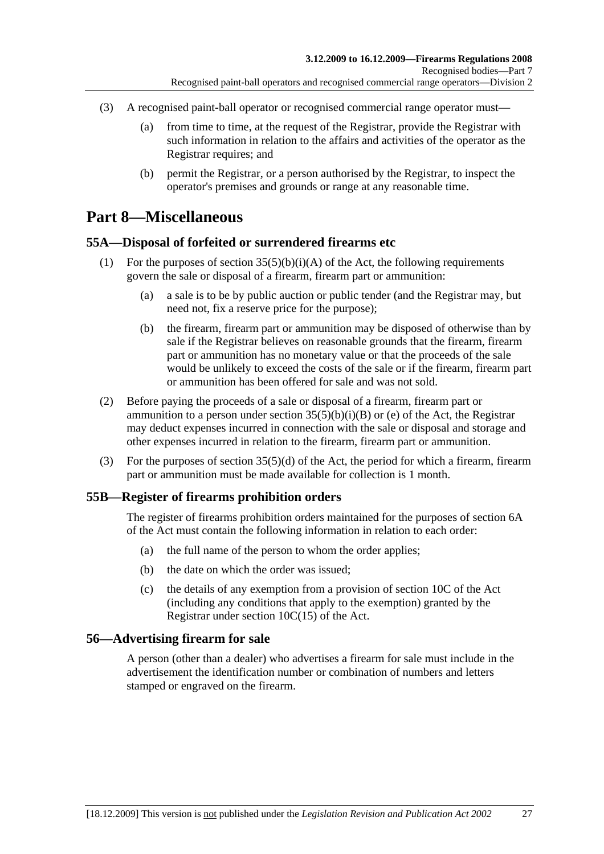- (3) A recognised paint-ball operator or recognised commercial range operator must—
	- (a) from time to time, at the request of the Registrar, provide the Registrar with such information in relation to the affairs and activities of the operator as the Registrar requires; and
	- (b) permit the Registrar, or a person authorised by the Registrar, to inspect the operator's premises and grounds or range at any reasonable time.

# **Part 8—Miscellaneous**

## **55A—Disposal of forfeited or surrendered firearms etc**

- (1) For the purposes of section  $35(5)(b)(i)(A)$  of the Act, the following requirements govern the sale or disposal of a firearm, firearm part or ammunition:
	- (a) a sale is to be by public auction or public tender (and the Registrar may, but need not, fix a reserve price for the purpose);
	- (b) the firearm, firearm part or ammunition may be disposed of otherwise than by sale if the Registrar believes on reasonable grounds that the firearm, firearm part or ammunition has no monetary value or that the proceeds of the sale would be unlikely to exceed the costs of the sale or if the firearm, firearm part or ammunition has been offered for sale and was not sold.
- (2) Before paying the proceeds of a sale or disposal of a firearm, firearm part or ammunition to a person under section  $35(5)(b)(i)(B)$  or (e) of the Act, the Registrar may deduct expenses incurred in connection with the sale or disposal and storage and other expenses incurred in relation to the firearm, firearm part or ammunition.
- (3) For the purposes of section 35(5)(d) of the Act, the period for which a firearm, firearm part or ammunition must be made available for collection is 1 month.

## **55B—Register of firearms prohibition orders**

The register of firearms prohibition orders maintained for the purposes of section 6A of the Act must contain the following information in relation to each order:

- (a) the full name of the person to whom the order applies;
- (b) the date on which the order was issued;
- (c) the details of any exemption from a provision of section 10C of the Act (including any conditions that apply to the exemption) granted by the Registrar under section 10C(15) of the Act.

## **56—Advertising firearm for sale**

A person (other than a dealer) who advertises a firearm for sale must include in the advertisement the identification number or combination of numbers and letters stamped or engraved on the firearm.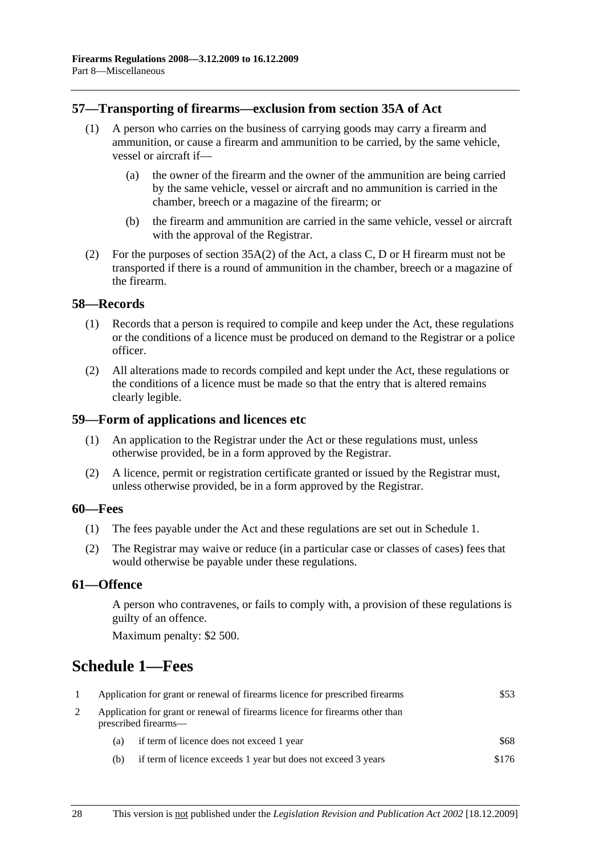## **57—Transporting of firearms—exclusion from section 35A of Act**

- (1) A person who carries on the business of carrying goods may carry a firearm and ammunition, or cause a firearm and ammunition to be carried, by the same vehicle, vessel or aircraft if—
	- (a) the owner of the firearm and the owner of the ammunition are being carried by the same vehicle, vessel or aircraft and no ammunition is carried in the chamber, breech or a magazine of the firearm; or
	- (b) the firearm and ammunition are carried in the same vehicle, vessel or aircraft with the approval of the Registrar.
- (2) For the purposes of section 35A(2) of the Act, a class C, D or H firearm must not be transported if there is a round of ammunition in the chamber, breech or a magazine of the firearm.

#### **58—Records**

- (1) Records that a person is required to compile and keep under the Act, these regulations or the conditions of a licence must be produced on demand to the Registrar or a police officer.
- (2) All alterations made to records compiled and kept under the Act, these regulations or the conditions of a licence must be made so that the entry that is altered remains clearly legible.

#### **59—Form of applications and licences etc**

- (1) An application to the Registrar under the Act or these regulations must, unless otherwise provided, be in a form approved by the Registrar.
- (2) A licence, permit or registration certificate granted or issued by the Registrar must, unless otherwise provided, be in a form approved by the Registrar.

#### **60—Fees**

- (1) The fees payable under the Act and these regulations are set out in Schedule 1.
- (2) The Registrar may waive or reduce (in a particular case or classes of cases) fees that would otherwise be payable under these regulations.

#### **61—Offence**

A person who contravenes, or fails to comply with, a provision of these regulations is guilty of an offence.

Maximum penalty: \$2 500.

# **Schedule 1—Fees**

| Application for grant or renewal of firearms licence for prescribed firearms |                                                                                                      | \$53  |  |
|------------------------------------------------------------------------------|------------------------------------------------------------------------------------------------------|-------|--|
|                                                                              | Application for grant or renewal of firearms licence for firearms other than<br>prescribed firearms— |       |  |
| (a)                                                                          | if term of licence does not exceed 1 year                                                            | \$68  |  |
| (b)                                                                          | if term of licence exceeds 1 year but does not exceed 3 years                                        | \$176 |  |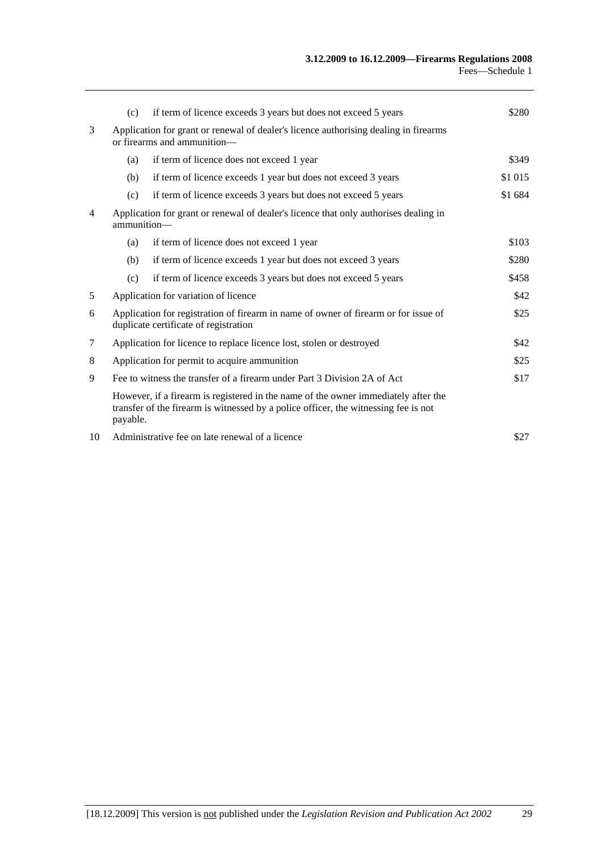|                | (c)                                                                                                                          | if term of licence exceeds 3 years but does not exceed 5 years                                                                                                            | \$280   |
|----------------|------------------------------------------------------------------------------------------------------------------------------|---------------------------------------------------------------------------------------------------------------------------------------------------------------------------|---------|
| 3              | Application for grant or renewal of dealer's licence authorising dealing in firearms<br>or firearms and ammunition-          |                                                                                                                                                                           |         |
|                | (a)                                                                                                                          | if term of licence does not exceed 1 year                                                                                                                                 | \$349   |
|                | (b)                                                                                                                          | if term of licence exceeds 1 year but does not exceed 3 years                                                                                                             | \$1 015 |
|                | (c)                                                                                                                          | if term of licence exceeds 3 years but does not exceed 5 years                                                                                                            | \$1 684 |
| $\overline{4}$ | Application for grant or renewal of dealer's licence that only authorises dealing in<br>ammunition-                          |                                                                                                                                                                           |         |
|                | (a)                                                                                                                          | if term of licence does not exceed 1 year                                                                                                                                 | \$103   |
|                | (b)                                                                                                                          | if term of licence exceeds 1 year but does not exceed 3 years                                                                                                             | \$280   |
|                | (c)                                                                                                                          | if term of licence exceeds 3 years but does not exceed 5 years                                                                                                            | \$458   |
| 5              |                                                                                                                              | Application for variation of licence                                                                                                                                      | \$42    |
| 6              | Application for registration of firearm in name of owner of firearm or for issue of<br>duplicate certificate of registration |                                                                                                                                                                           | \$25    |
| 7              | Application for licence to replace licence lost, stolen or destroyed                                                         |                                                                                                                                                                           | \$42    |
| 8              | Application for permit to acquire ammunition                                                                                 |                                                                                                                                                                           | \$25    |
| 9              | Fee to witness the transfer of a firearm under Part 3 Division 2A of Act                                                     |                                                                                                                                                                           | \$17    |
|                | payable.                                                                                                                     | However, if a firearm is registered in the name of the owner immediately after the<br>transfer of the firearm is witnessed by a police officer, the witnessing fee is not |         |
| 10             | Administrative fee on late renewal of a licence                                                                              |                                                                                                                                                                           | \$27    |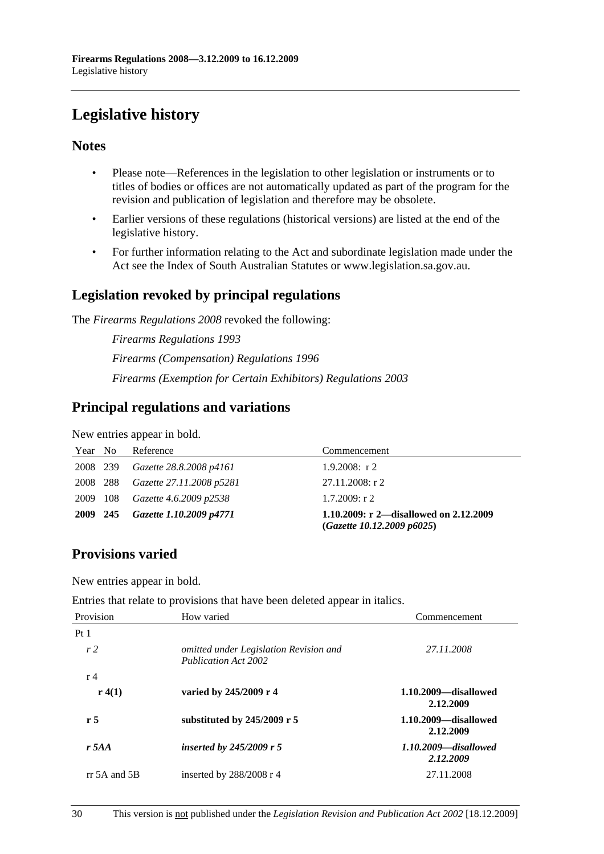# **Legislative history**

## **Notes**

- Please note—References in the legislation to other legislation or instruments or to titles of bodies or offices are not automatically updated as part of the program for the revision and publication of legislation and therefore may be obsolete.
- Earlier versions of these regulations (historical versions) are listed at the end of the legislative history.
- For further information relating to the Act and subordinate legislation made under the Act see the Index of South Australian Statutes or www.legislation.sa.gov.au.

## **Legislation revoked by principal regulations**

The *Firearms Regulations 2008* revoked the following:

*Firearms Regulations 1993 Firearms (Compensation) Regulations 1996 Firearms (Exemption for Certain Exhibitors) Regulations 2003*

## **Principal regulations and variations**

New entries appear in bold.

| Year No  | Reference                | Commencement                                                         |
|----------|--------------------------|----------------------------------------------------------------------|
| 2008 239 | Gazette 28.8.2008 p4161  | $1.9.2008$ : r 2                                                     |
| 2008 288 | Gazette 27.11.2008 p5281 | 27.11.2008: r 2                                                      |
| 2009 108 | Gazette 4.6.2009 p2538   | $1.7.2009$ : r 2                                                     |
| 2009 245 | Gazette 1.10.2009 p4771  | 1.10.2009: r 2—disallowed on 2.12.2009<br>(Gazette 10.12.2009 p6025) |

## **Provisions varied**

New entries appear in bold.

Entries that relate to provisions that have been deleted appear in italics.

| Provision      | How varied                                                     | Commencement                         |
|----------------|----------------------------------------------------------------|--------------------------------------|
| Pt1            |                                                                |                                      |
| r <sub>2</sub> | omitted under Legislation Revision and<br>Publication Act 2002 | 27.11.2008                           |
| r <sub>4</sub> |                                                                |                                      |
| r(4(1))        | varied by 245/2009 r 4                                         | 1.10.2009—disallowed<br>2.12.2009    |
| r <sub>5</sub> | substituted by $245/2009$ r 5                                  | 1.10.2009—disallowed<br>2.12.2009    |
| $r$ 5AA        | inserted by $245/2009$ r 5                                     | $1.10.2009$ —disallowed<br>2.12.2009 |
| $rr$ 5A and 5B | inserted by $288/2008$ r 4                                     | 27.11.2008                           |